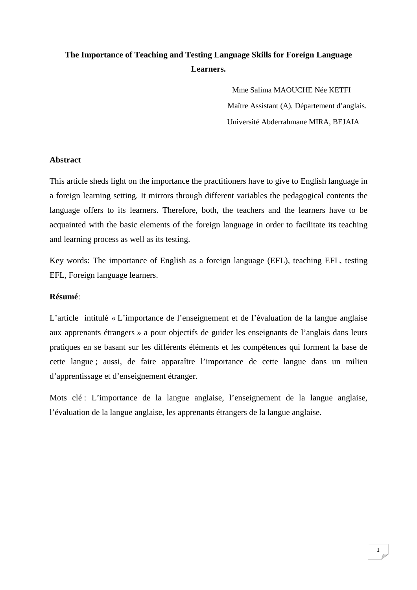# **The Importance of Teaching and Testing Language Skills for Foreign Language Learners.**

 Mme Salima MAOUCHE Née KETFI Maître Assistant (A), Département d'anglais. Université Abderrahmane MIRA, BEJAIA

## **Abstract**

This article sheds light on the importance the practitioners have to give to English language in a foreign learning setting. It mirrors through different variables the pedagogical contents the language offers to its learners. Therefore, both, the teachers and the learners have to be acquainted with the basic elements of the foreign language in order to facilitate its teaching and learning process as well as its testing.

Key words: The importance of English as a foreign language (EFL), teaching EFL, testing EFL, Foreign language learners.

#### **Résumé**:

L'article intitulé « L'importance de l'enseignement et de l'évaluation de la langue anglaise aux apprenants étrangers » a pour objectifs de guider les enseignants de l'anglais dans leurs pratiques en se basant sur les différents éléments et les compétences qui forment la base de cette langue ; aussi, de faire apparaître l'importance de cette langue dans un milieu d'apprentissage et d'enseignement étranger.

Mots clé : L'importance de la langue anglaise, l'enseignement de la langue anglaise, l'évaluation de la langue anglaise, les apprenants étrangers de la langue anglaise.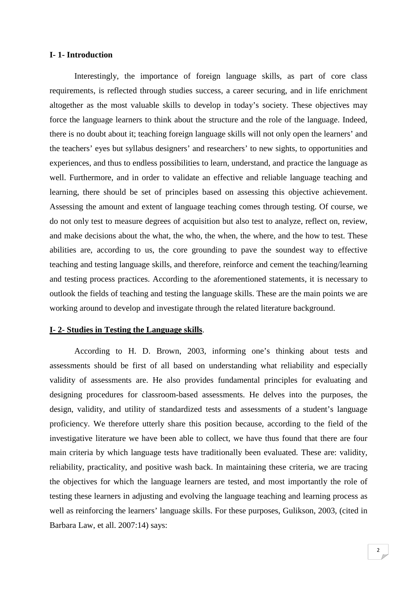### **I- 1- Introduction**

Interestingly, the importance of foreign language skills, as part of core class requirements, is reflected through studies success, a career securing, and in life enrichment altogether as the most valuable skills to develop in today's society. These objectives may force the language learners to think about the structure and the role of the language. Indeed, there is no doubt about it; teaching foreign language skills will not only open the learners' and the teachers' eyes but syllabus designers' and researchers' to new sights, to opportunities and experiences, and thus to endless possibilities to learn, understand, and practice the language as well. Furthermore, and in order to validate an effective and reliable language teaching and learning, there should be set of principles based on assessing this objective achievement. Assessing the amount and extent of language teaching comes through testing. Of course, we do not only test to measure degrees of acquisition but also test to analyze, reflect on, review, and make decisions about the what, the who, the when, the where, and the how to test. These abilities are, according to us, the core grounding to pave the soundest way to effective teaching and testing language skills, and therefore, reinforce and cement the teaching/learning and testing process practices. According to the aforementioned statements, it is necessary to outlook the fields of teaching and testing the language skills. These are the main points we are working around to develop and investigate through the related literature background.

## **I- 2- Studies in Testing the Language skills**.

 According to H. D. Brown, 2003, informing one's thinking about tests and assessments should be first of all based on understanding what reliability and especially validity of assessments are. He also provides fundamental principles for evaluating and designing procedures for classroom-based assessments. He delves into the purposes, the design, validity, and utility of standardized tests and assessments of a student's language proficiency. We therefore utterly share this position because, according to the field of the investigative literature we have been able to collect, we have thus found that there are four main criteria by which language tests have traditionally been evaluated. These are: validity, reliability, practicality, and positive wash back. In maintaining these criteria, we are tracing the objectives for which the language learners are tested, and most importantly the role of testing these learners in adjusting and evolving the language teaching and learning process as well as reinforcing the learners' language skills. For these purposes, Gulikson, 2003, (cited in Barbara Law, et all. 2007:14) says: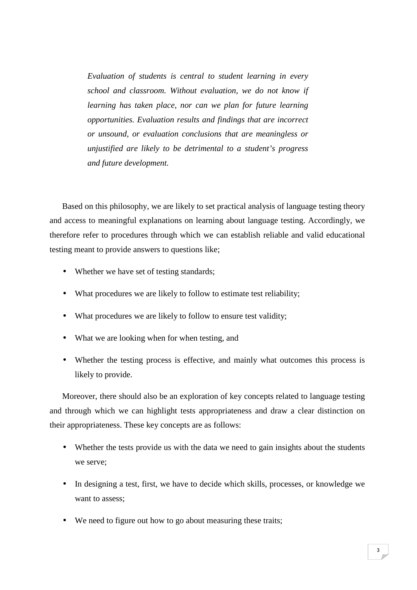*Evaluation of students is central to student learning in every school and classroom. Without evaluation, we do not know if learning has taken place, nor can we plan for future learning opportunities. Evaluation results and findings that are incorrect or unsound, or evaluation conclusions that are meaningless or unjustified are likely to be detrimental to a student's progress and future development.* 

Based on this philosophy, we are likely to set practical analysis of language testing theory and access to meaningful explanations on learning about language testing. Accordingly, we therefore refer to procedures through which we can establish reliable and valid educational testing meant to provide answers to questions like;

- Whether we have set of testing standards;
- What procedures we are likely to follow to estimate test reliability;
- What procedures we are likely to follow to ensure test validity;
- What we are looking when for when testing, and
- Whether the testing process is effective, and mainly what outcomes this process is likely to provide.

Moreover, there should also be an exploration of key concepts related to language testing and through which we can highlight tests appropriateness and draw a clear distinction on their appropriateness. These key concepts are as follows:

- Whether the tests provide us with the data we need to gain insights about the students we serve;
- In designing a test, first, we have to decide which skills, processes, or knowledge we want to assess;
- We need to figure out how to go about measuring these traits;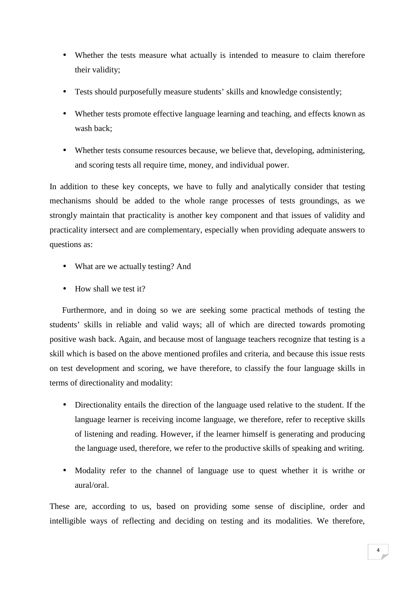- Whether the tests measure what actually is intended to measure to claim therefore their validity;
- Tests should purposefully measure students' skills and knowledge consistently;
- Whether tests promote effective language learning and teaching, and effects known as wash back;
- Whether tests consume resources because, we believe that, developing, administering, and scoring tests all require time, money, and individual power.

In addition to these key concepts, we have to fully and analytically consider that testing mechanisms should be added to the whole range processes of tests groundings, as we strongly maintain that practicality is another key component and that issues of validity and practicality intersect and are complementary, especially when providing adequate answers to questions as:

- What are we actually testing? And
- $\bullet$  How shall we test it?

Furthermore, and in doing so we are seeking some practical methods of testing the students' skills in reliable and valid ways; all of which are directed towards promoting positive wash back. Again, and because most of language teachers recognize that testing is a skill which is based on the above mentioned profiles and criteria, and because this issue rests on test development and scoring, we have therefore, to classify the four language skills in terms of directionality and modality:

- Directionality entails the direction of the language used relative to the student. If the language learner is receiving income language, we therefore, refer to receptive skills of listening and reading. However, if the learner himself is generating and producing the language used, therefore, we refer to the productive skills of speaking and writing.
- Modality refer to the channel of language use to quest whether it is writhe or aural/oral.

These are, according to us, based on providing some sense of discipline, order and intelligible ways of reflecting and deciding on testing and its modalities. We therefore,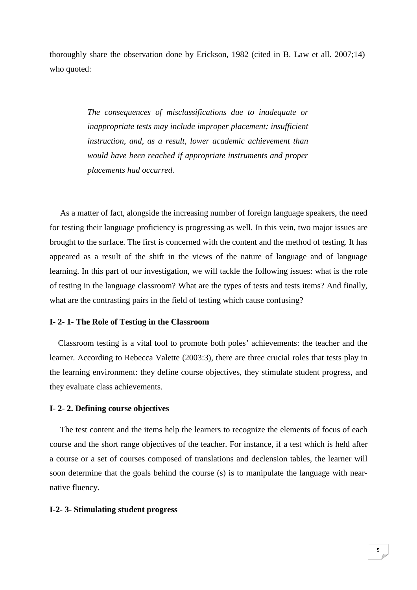thoroughly share the observation done by Erickson, 1982 (cited in B. Law et all. 2007;14) who quoted:

> *The consequences of misclassifications due to inadequate or inappropriate tests may include improper placement; insufficient instruction, and, as a result, lower academic achievement than would have been reached if appropriate instruments and proper placements had occurred.*

 As a matter of fact, alongside the increasing number of foreign language speakers, the need for testing their language proficiency is progressing as well. In this vein, two major issues are brought to the surface. The first is concerned with the content and the method of testing. It has appeared as a result of the shift in the views of the nature of language and of language learning. In this part of our investigation, we will tackle the following issues: what is the role of testing in the language classroom? What are the types of tests and tests items? And finally, what are the contrasting pairs in the field of testing which cause confusing?

### **I- 2- 1- The Role of Testing in the Classroom**

 Classroom testing is a vital tool to promote both poles' achievements: the teacher and the learner. According to Rebecca Valette (2003:3), there are three crucial roles that tests play in the learning environment: they define course objectives, they stimulate student progress, and they evaluate class achievements.

#### **I- 2- 2. Defining course objectives**

 The test content and the items help the learners to recognize the elements of focus of each course and the short range objectives of the teacher. For instance, if a test which is held after a course or a set of courses composed of translations and declension tables, the learner will soon determine that the goals behind the course (s) is to manipulate the language with nearnative fluency.

#### **I-2- 3- Stimulating student progress**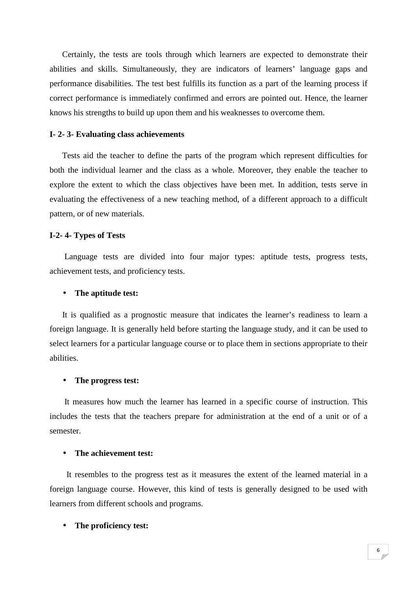Certainly, the tests are tools through which learners are expected to demonstrate their abilities and skills. Simultaneously, they are indicators of learners' language gaps and performance disabilities. The test best fulfills its function as a part of the learning process if correct performance is immediately confirmed and errors are pointed out. Hence, the learner knows his strengths to build up upon them and his weaknesses to overcome them.

#### **I- 2- 3- Evaluating class achievements**

 Tests aid the teacher to define the parts of the program which represent difficulties for both the individual learner and the class as a whole. Moreover, they enable the teacher to explore the extent to which the class objectives have been met. In addition, tests serve in evaluating the effectiveness of a new teaching method, of a different approach to a difficult pattern, or of new materials.

#### **I-2- 4- Types of Tests**

 Language tests are divided into four major types: aptitude tests, progress tests, achievement tests, and proficiency tests.

#### • **The aptitude test:**

 It is qualified as a prognostic measure that indicates the learner's readiness to learn a foreign language. It is generally held before starting the language study, and it can be used to select learners for a particular language course or to place them in sections appropriate to their abilities.

#### • **The progress test:**

 It measures how much the learner has learned in a specific course of instruction. This includes the tests that the teachers prepare for administration at the end of a unit or of a semester.

#### • **The achievement test:**

 It resembles to the progress test as it measures the extent of the learned material in a foreign language course. However, this kind of tests is generally designed to be used with learners from different schools and programs.

#### • **The proficiency test:**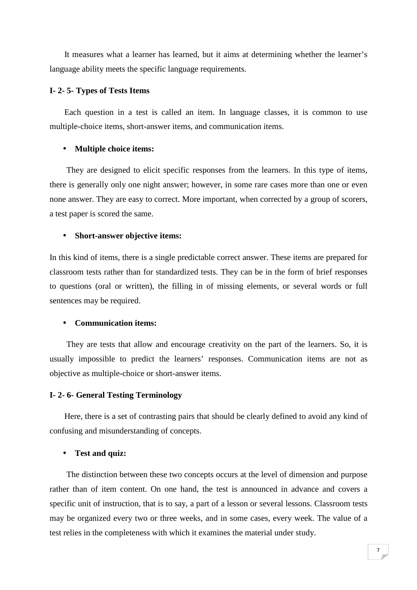It measures what a learner has learned, but it aims at determining whether the learner's language ability meets the specific language requirements.

#### **I- 2- 5- Types of Tests Items**

 Each question in a test is called an item. In language classes, it is common to use multiple-choice items, short-answer items, and communication items.

#### • **Multiple choice items:**

 They are designed to elicit specific responses from the learners. In this type of items, there is generally only one night answer; however, in some rare cases more than one or even none answer. They are easy to correct. More important, when corrected by a group of scorers, a test paper is scored the same.

#### • **Short-answer objective items:**

In this kind of items, there is a single predictable correct answer. These items are prepared for classroom tests rather than for standardized tests. They can be in the form of brief responses to questions (oral or written), the filling in of missing elements, or several words or full sentences may be required.

#### • **Communication items:**

 They are tests that allow and encourage creativity on the part of the learners. So, it is usually impossible to predict the learners' responses. Communication items are not as objective as multiple-choice or short-answer items.

#### **I- 2- 6- General Testing Terminology**

 Here, there is a set of contrasting pairs that should be clearly defined to avoid any kind of confusing and misunderstanding of concepts.

#### • **Test and quiz:**

 The distinction between these two concepts occurs at the level of dimension and purpose rather than of item content. On one hand, the test is announced in advance and covers a specific unit of instruction, that is to say, a part of a lesson or several lessons. Classroom tests may be organized every two or three weeks, and in some cases, every week. The value of a test relies in the completeness with which it examines the material under study.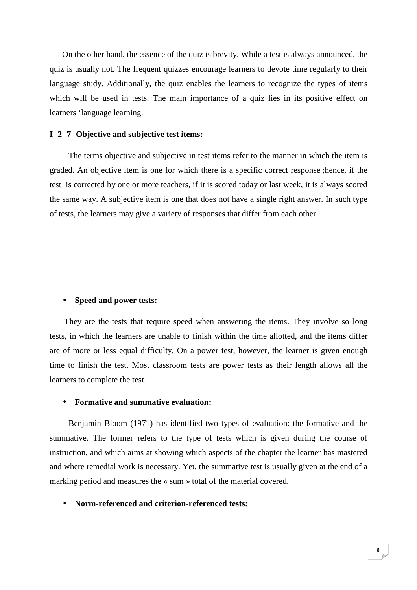On the other hand, the essence of the quiz is brevity. While a test is always announced, the quiz is usually not. The frequent quizzes encourage learners to devote time regularly to their language study. Additionally, the quiz enables the learners to recognize the types of items which will be used in tests. The main importance of a quiz lies in its positive effect on learners 'language learning.

#### **I- 2- 7- Objective and subjective test items:**

 The terms objective and subjective in test items refer to the manner in which the item is graded. An objective item is one for which there is a specific correct response ;hence, if the test is corrected by one or more teachers, if it is scored today or last week, it is always scored the same way. A subjective item is one that does not have a single right answer. In such type of tests, the learners may give a variety of responses that differ from each other.

#### • **Speed and power tests:**

 They are the tests that require speed when answering the items. They involve so long tests, in which the learners are unable to finish within the time allotted, and the items differ are of more or less equal difficulty. On a power test, however, the learner is given enough time to finish the test. Most classroom tests are power tests as their length allows all the learners to complete the test.

#### • **Formative and summative evaluation:**

 Benjamin Bloom (1971) has identified two types of evaluation: the formative and the summative. The former refers to the type of tests which is given during the course of instruction, and which aims at showing which aspects of the chapter the learner has mastered and where remedial work is necessary. Yet, the summative test is usually given at the end of a marking period and measures the « sum » total of the material covered.

#### • **Norm-referenced and criterion-referenced tests:**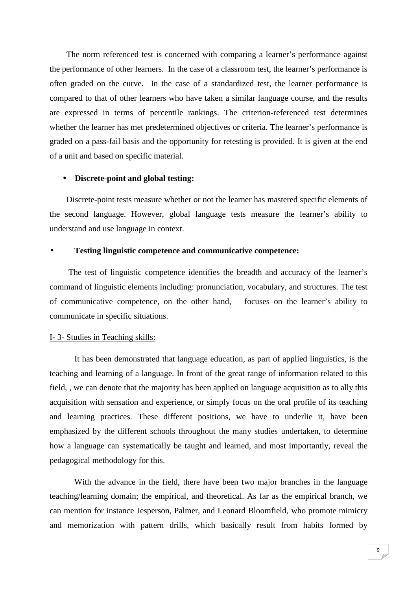The norm referenced test is concerned with comparing a learner's performance against the performance of other learners. In the case of a classroom test, the learner's performance is often graded on the curve. In the case of a standardized test, the learner performance is compared to that of other learners who have taken a similar language course, and the results are expressed in terms of percentile rankings. The criterion-referenced test determines whether the learner has met predetermined objectives or criteria. The learner's performance is graded on a pass-fail basis and the opportunity for retesting is provided. It is given at the end of a unit and based on specific material.

#### • **Discrete-point and global testing:**

 Discrete-point tests measure whether or not the learner has mastered specific elements of the second language. However, global language tests measure the learner's ability to understand and use language in context.

#### • **Testing linguistic competence and communicative competence:**

 The test of linguistic competence identifies the breadth and accuracy of the learner's command of linguistic elements including: pronunciation, vocabulary, and structures. The test of communicative competence, on the other hand, focuses on the learner's ability to communicate in specific situations.

#### I- 3- Studies in Teaching skills:

It has been demonstrated that language education, as part of applied linguistics, is the teaching and learning of a language. In front of the great range of information related to this field, , we can denote that the majority has been applied on language acquisition as to ally this acquisition with sensation and experience, or simply focus on the oral profile of its teaching and learning practices. These different positions, we have to underlie it, have been emphasized by the different schools throughout the many studies undertaken, to determine how a language can systematically be taught and learned, and most importantly, reveal the pedagogical methodology for this.

With the advance in the field, there have been two major branches in the language teaching/learning domain; the empirical, and theoretical. As far as the empirical branch, we can mention for instance Jesperson, Palmer, and Leonard Bloomfield, who promote mimicry and memorization with pattern drills, which basically result from habits formed by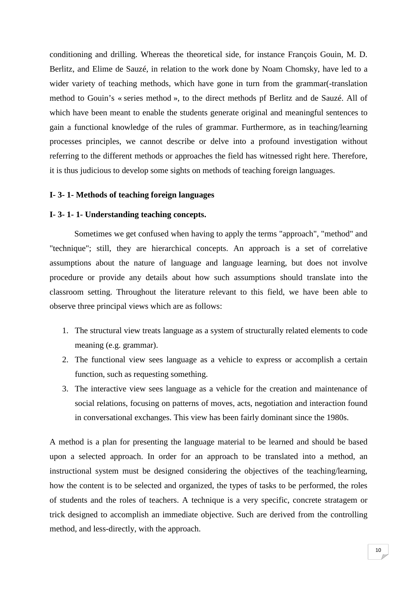conditioning and drilling. Whereas the theoretical side, for instance François Gouin, M. D. Berlitz, and Elime de Sauzé, in relation to the work done by Noam Chomsky, have led to a wider variety of teaching methods, which have gone in turn from the grammar(-translation method to Gouin's « series method », to the direct methods pf Berlitz and de Sauzé. All of which have been meant to enable the students generate original and meaningful sentences to gain a functional knowledge of the rules of grammar. Furthermore, as in teaching/learning processes principles, we cannot describe or delve into a profound investigation without referring to the different methods or approaches the field has witnessed right here. Therefore, it is thus judicious to develop some sights on methods of teaching foreign languages.

#### **I- 3- 1- Methods of teaching foreign languages**

#### **I- 3- 1- 1- Understanding teaching concepts.**

Sometimes we get confused when having to apply the terms "approach", "method" and "technique"; still, they are hierarchical concepts. An approach is a set of correlative assumptions about the nature of language and language learning, but does not involve procedure or provide any details about how such assumptions should translate into the classroom setting. Throughout the literature relevant to this field, we have been able to observe three principal views which are as follows:

- 1. The structural view treats language as a system of structurally related elements to code meaning (e.g. grammar).
- 2. The functional view sees language as a vehicle to express or accomplish a certain function, such as requesting something.
- 3. The interactive view sees language as a vehicle for the creation and maintenance of social relations, focusing on patterns of moves, acts, negotiation and interaction found in conversational exchanges. This view has been fairly dominant since the 1980s.

A method is a plan for presenting the language material to be learned and should be based upon a selected approach. In order for an approach to be translated into a method, an instructional system must be designed considering the objectives of the teaching/learning, how the content is to be selected and organized, the types of tasks to be performed, the roles of students and the roles of teachers. A technique is a very specific, concrete stratagem or trick designed to accomplish an immediate objective. Such are derived from the controlling method, and less-directly, with the approach.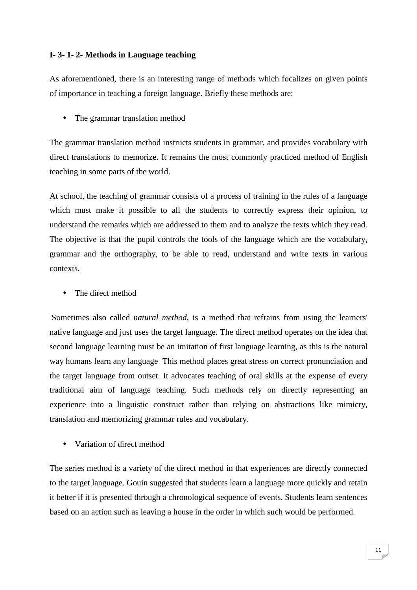## **I- 3- 1- 2- Methods in Language teaching**

As aforementioned, there is an interesting range of methods which focalizes on given points of importance in teaching a foreign language. Briefly these methods are:

• The grammar translation method

The grammar translation method instructs students in grammar, and provides vocabulary with direct translations to memorize. It remains the most commonly practiced method of English teaching in some parts of the world.

At school, the teaching of grammar consists of a process of training in the rules of a language which must make it possible to all the students to correctly express their opinion, to understand the remarks which are addressed to them and to analyze the texts which they read. The objective is that the pupil controls the tools of the language which are the vocabulary, grammar and the orthography, to be able to read, understand and write texts in various contexts.

• The direct method

 Sometimes also called *natural method*, is a method that refrains from using the learners' native language and just uses the target language. The direct method operates on the idea that second language learning must be an imitation of first language learning, as this is the natural way humans learn any language This method places great stress on correct pronunciation and the target language from outset. It advocates teaching of oral skills at the expense of every traditional aim of language teaching. Such methods rely on directly representing an experience into a linguistic construct rather than relying on abstractions like mimicry, translation and memorizing grammar rules and vocabulary.

• Variation of direct method

The series method is a variety of the direct method in that experiences are directly connected to the target language. Gouin suggested that students learn a language more quickly and retain it better if it is presented through a chronological sequence of events. Students learn sentences based on an action such as leaving a house in the order in which such would be performed.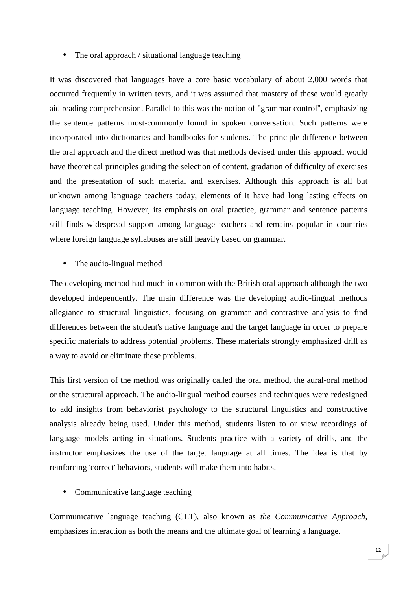• The oral approach / situational language teaching

It was discovered that languages have a core basic vocabulary of about 2,000 words that occurred frequently in written texts, and it was assumed that mastery of these would greatly aid reading comprehension. Parallel to this was the notion of "grammar control", emphasizing the sentence patterns most-commonly found in spoken conversation. Such patterns were incorporated into dictionaries and handbooks for students. The principle difference between the oral approach and the direct method was that methods devised under this approach would have theoretical principles guiding the selection of content, gradation of difficulty of exercises and the presentation of such material and exercises. Although this approach is all but unknown among language teachers today, elements of it have had long lasting effects on language teaching. However, its emphasis on oral practice, grammar and sentence patterns still finds widespread support among language teachers and remains popular in countries where foreign language syllabuses are still heavily based on grammar.

• The audio-lingual method

The developing method had much in common with the British oral approach although the two developed independently. The main difference was the developing audio-lingual methods allegiance to structural linguistics, focusing on grammar and contrastive analysis to find differences between the student's native language and the target language in order to prepare specific materials to address potential problems. These materials strongly emphasized drill as a way to avoid or eliminate these problems.

This first version of the method was originally called the oral method, the aural-oral method or the structural approach. The audio-lingual method courses and techniques were redesigned to add insights from behaviorist psychology to the structural linguistics and constructive analysis already being used. Under this method, students listen to or view recordings of language models acting in situations. Students practice with a variety of drills, and the instructor emphasizes the use of the target language at all times. The idea is that by reinforcing 'correct' behaviors, students will make them into habits.

• Communicative language teaching

Communicative language teaching (CLT), also known as *the Communicative Approach*, emphasizes interaction as both the means and the ultimate goal of learning a language.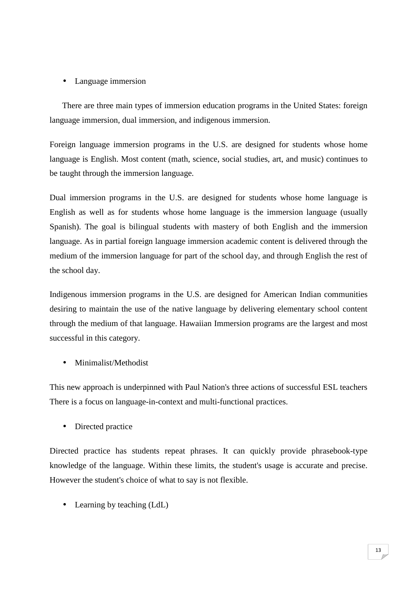## • Language immersion

There are three main types of immersion education programs in the United States: foreign language immersion, dual immersion, and indigenous immersion.

Foreign language immersion programs in the U.S. are designed for students whose home language is English. Most content (math, science, social studies, art, and music) continues to be taught through the immersion language.

Dual immersion programs in the U.S. are designed for students whose home language is English as well as for students whose home language is the immersion language (usually Spanish). The goal is bilingual students with mastery of both English and the immersion language. As in partial foreign language immersion academic content is delivered through the medium of the immersion language for part of the school day, and through English the rest of the school day.

Indigenous immersion programs in the U.S. are designed for American Indian communities desiring to maintain the use of the native language by delivering elementary school content through the medium of that language. Hawaiian Immersion programs are the largest and most successful in this category.

• Minimalist/Methodist

This new approach is underpinned with Paul Nation's three actions of successful ESL teachers There is a focus on language-in-context and multi-functional practices.

• Directed practice

Directed practice has students repeat phrases. It can quickly provide phrasebook-type knowledge of the language. Within these limits, the student's usage is accurate and precise. However the student's choice of what to say is not flexible.

• Learning by teaching (LdL)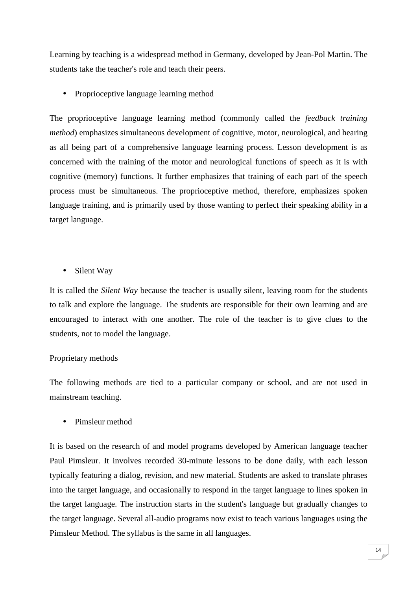Learning by teaching is a widespread method in Germany, developed by Jean-Pol Martin. The students take the teacher's role and teach their peers.

• Proprioceptive language learning method

The proprioceptive language learning method (commonly called the *feedback training method*) emphasizes simultaneous development of cognitive, motor, neurological, and hearing as all being part of a comprehensive language learning process. Lesson development is as concerned with the training of the motor and neurological functions of speech as it is with cognitive (memory) functions. It further emphasizes that training of each part of the speech process must be simultaneous. The proprioceptive method, therefore, emphasizes spoken language training, and is primarily used by those wanting to perfect their speaking ability in a target language.

• Silent Way

It is called the *Silent Way* because the teacher is usually silent, leaving room for the students to talk and explore the language. The students are responsible for their own learning and are encouraged to interact with one another. The role of the teacher is to give clues to the students, not to model the language.

## Proprietary methods

The following methods are tied to a particular company or school, and are not used in mainstream teaching.

• Pimsleur method

It is based on the research of and model programs developed by American language teacher Paul Pimsleur. It involves recorded 30-minute lessons to be done daily, with each lesson typically featuring a dialog, revision, and new material. Students are asked to translate phrases into the target language, and occasionally to respond in the target language to lines spoken in the target language. The instruction starts in the student's language but gradually changes to the target language. Several all-audio programs now exist to teach various languages using the Pimsleur Method. The syllabus is the same in all languages.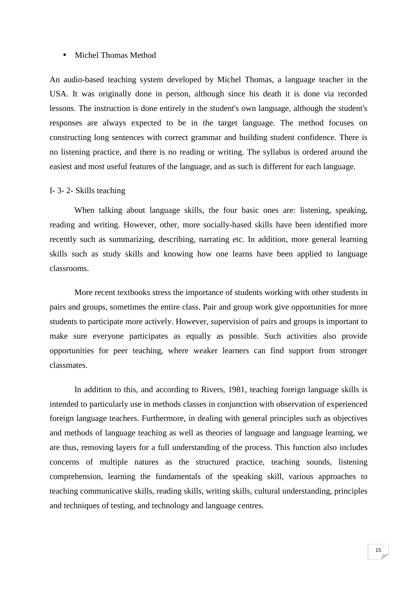#### • Michel Thomas Method

An audio-based teaching system developed by Michel Thomas, a language teacher in the USA. It was originally done in person, although since his death it is done via recorded lessons. The instruction is done entirely in the student's own language, although the student's responses are always expected to be in the target language. The method focuses on constructing long sentences with correct grammar and building student confidence. There is no listening practice, and there is no reading or writing. The syllabus is ordered around the easiest and most useful features of the language, and as such is different for each language.

#### I- 3- 2- Skills teaching

When talking about language skills, the four basic ones are: listening, speaking, reading and writing. However, other, more socially-based skills have been identified more recently such as summarizing, describing, narrating etc. In addition, more general learning skills such as study skills and knowing how one learns have been applied to language classrooms.

More recent textbooks stress the importance of students working with other students in pairs and groups, sometimes the entire class. Pair and group work give opportunities for more students to participate more actively. However, supervision of pairs and groups is important to make sure everyone participates as equally as possible. Such activities also provide opportunities for peer teaching, where weaker learners can find support from stronger classmates.

In addition to this, and according to Rivers, 1981, teaching foreign language skills is intended to particularly use in methods classes in conjunction with observation of experienced foreign language teachers. Furthermore, in dealing with general principles such as objectives and methods of language teaching as well as theories of language and language learning, we are thus, removing layers for a full understanding of the process. This function also includes concerns of multiple natures as the structured practice, teaching sounds, listening comprehension, learning the fundamentals of the speaking skill, various approaches to teaching communicative skills, reading skills, writing skills, cultural understanding, principles and techniques of testing, and technology and language centres.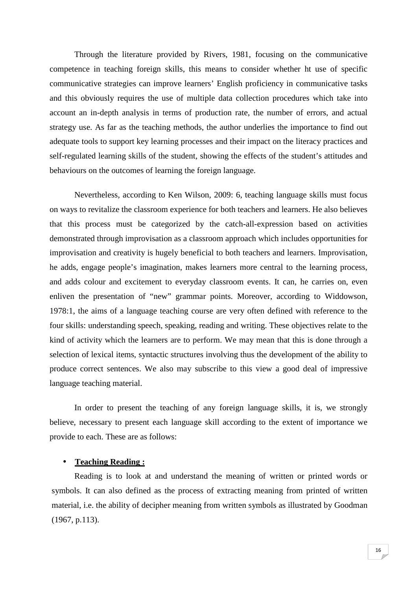Through the literature provided by Rivers, 1981, focusing on the communicative competence in teaching foreign skills, this means to consider whether ht use of specific communicative strategies can improve learners' English proficiency in communicative tasks and this obviously requires the use of multiple data collection procedures which take into account an in-depth analysis in terms of production rate, the number of errors, and actual strategy use. As far as the teaching methods, the author underlies the importance to find out adequate tools to support key learning processes and their impact on the literacy practices and self-regulated learning skills of the student, showing the effects of the student's attitudes and behaviours on the outcomes of learning the foreign language.

Nevertheless, according to Ken Wilson, 2009: 6, teaching language skills must focus on ways to revitalize the classroom experience for both teachers and learners. He also believes that this process must be categorized by the catch-all-expression based on activities demonstrated through improvisation as a classroom approach which includes opportunities for improvisation and creativity is hugely beneficial to both teachers and learners. Improvisation, he adds, engage people's imagination, makes learners more central to the learning process, and adds colour and excitement to everyday classroom events. It can, he carries on, even enliven the presentation of "new" grammar points. Moreover, according to Widdowson, 1978:1, the aims of a language teaching course are very often defined with reference to the four skills: understanding speech, speaking, reading and writing. These objectives relate to the kind of activity which the learners are to perform. We may mean that this is done through a selection of lexical items, syntactic structures involving thus the development of the ability to produce correct sentences. We also may subscribe to this view a good deal of impressive language teaching material.

In order to present the teaching of any foreign language skills, it is, we strongly believe, necessary to present each language skill according to the extent of importance we provide to each. These are as follows:

### • **Teaching Reading :**

 Reading is to look at and understand the meaning of written or printed words or symbols. It can also defined as the process of extracting meaning from printed of written material, i.e. the ability of decipher meaning from written symbols as illustrated by Goodman (1967, p.113).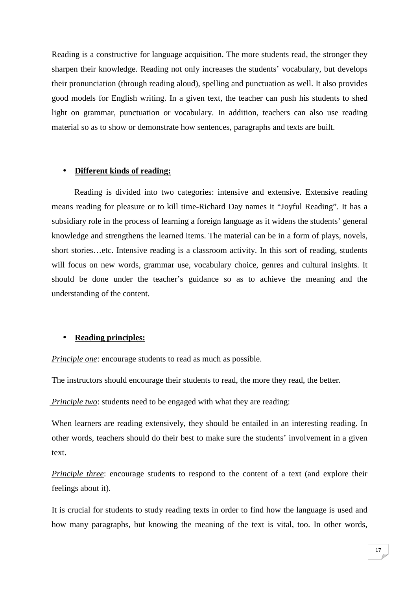Reading is a constructive for language acquisition. The more students read, the stronger they sharpen their knowledge. Reading not only increases the students' vocabulary, but develops their pronunciation (through reading aloud), spelling and punctuation as well. It also provides good models for English writing. In a given text, the teacher can push his students to shed light on grammar, punctuation or vocabulary. In addition, teachers can also use reading material so as to show or demonstrate how sentences, paragraphs and texts are built.

### • **Different kinds of reading:**

Reading is divided into two categories: intensive and extensive. Extensive reading means reading for pleasure or to kill time-Richard Day names it "Joyful Reading". It has a subsidiary role in the process of learning a foreign language as it widens the students' general knowledge and strengthens the learned items. The material can be in a form of plays, novels, short stories…etc. Intensive reading is a classroom activity. In this sort of reading, students will focus on new words, grammar use, vocabulary choice, genres and cultural insights. It should be done under the teacher's guidance so as to achieve the meaning and the understanding of the content.

#### • **Reading principles:**

*Principle one*: encourage students to read as much as possible.

The instructors should encourage their students to read, the more they read, the better.

*Principle two*: students need to be engaged with what they are reading:

When learners are reading extensively, they should be entailed in an interesting reading. In other words, teachers should do their best to make sure the students' involvement in a given text.

*Principle three:* encourage students to respond to the content of a text (and explore their feelings about it).

It is crucial for students to study reading texts in order to find how the language is used and how many paragraphs, but knowing the meaning of the text is vital, too. In other words,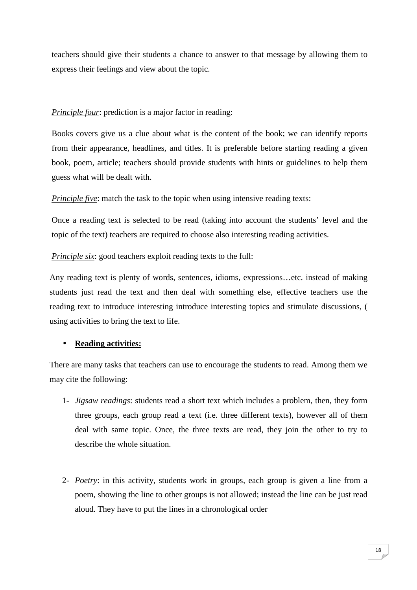teachers should give their students a chance to answer to that message by allowing them to express their feelings and view about the topic.

## *Principle four:* prediction is a major factor in reading:

Books covers give us a clue about what is the content of the book; we can identify reports from their appearance, headlines, and titles. It is preferable before starting reading a given book, poem, article; teachers should provide students with hints or guidelines to help them guess what will be dealt with.

*Principle five*: match the task to the topic when using intensive reading texts:

Once a reading text is selected to be read (taking into account the students' level and the topic of the text) teachers are required to choose also interesting reading activities.

*Principle six:* good teachers exploit reading texts to the full:

Any reading text is plenty of words, sentences, idioms, expressions…etc. instead of making students just read the text and then deal with something else, effective teachers use the reading text to introduce interesting introduce interesting topics and stimulate discussions, ( using activities to bring the text to life.

## • **Reading activities:**

There are many tasks that teachers can use to encourage the students to read. Among them we may cite the following:

- 1- *Jigsaw readings*: students read a short text which includes a problem, then, they form three groups, each group read a text (i.e. three different texts), however all of them deal with same topic. Once, the three texts are read, they join the other to try to describe the whole situation.
- 2- *Poetry*: in this activity, students work in groups, each group is given a line from a poem, showing the line to other groups is not allowed; instead the line can be just read aloud. They have to put the lines in a chronological order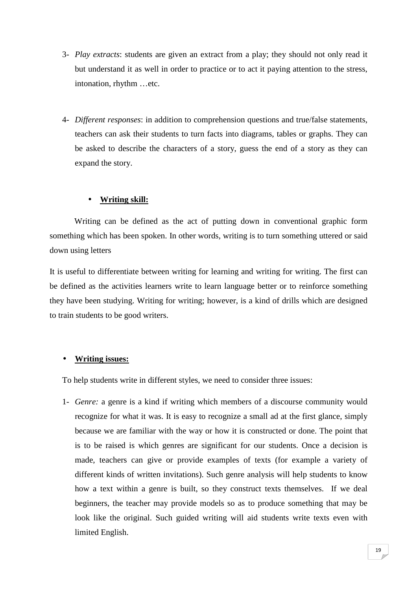- 3- *Play extracts*: students are given an extract from a play; they should not only read it but understand it as well in order to practice or to act it paying attention to the stress, intonation, rhythm …etc.
- 4- *Different responses*: in addition to comprehension questions and true/false statements, teachers can ask their students to turn facts into diagrams, tables or graphs. They can be asked to describe the characters of a story, guess the end of a story as they can expand the story.

## • **Writing skill:**

Writing can be defined as the act of putting down in conventional graphic form something which has been spoken. In other words, writing is to turn something uttered or said down using letters

It is useful to differentiate between writing for learning and writing for writing. The first can be defined as the activities learners write to learn language better or to reinforce something they have been studying. Writing for writing; however, is a kind of drills which are designed to train students to be good writers.

## • **Writing issues:**

To help students write in different styles, we need to consider three issues:

1- *Genre:* a genre is a kind if writing which members of a discourse community would recognize for what it was. It is easy to recognize a small ad at the first glance, simply because we are familiar with the way or how it is constructed or done. The point that is to be raised is which genres are significant for our students. Once a decision is made, teachers can give or provide examples of texts (for example a variety of different kinds of written invitations). Such genre analysis will help students to know how a text within a genre is built, so they construct texts themselves. If we deal beginners, the teacher may provide models so as to produce something that may be look like the original. Such guided writing will aid students write texts even with limited English.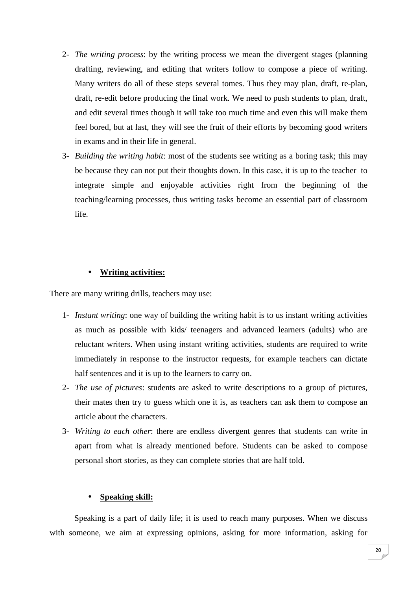- 2- *The writing process*: by the writing process we mean the divergent stages (planning drafting, reviewing, and editing that writers follow to compose a piece of writing. Many writers do all of these steps several tomes. Thus they may plan, draft, re-plan, draft, re-edit before producing the final work. We need to push students to plan, draft, and edit several times though it will take too much time and even this will make them feel bored, but at last, they will see the fruit of their efforts by becoming good writers in exams and in their life in general.
- 3- *Building the writing habit*: most of the students see writing as a boring task; this may be because they can not put their thoughts down. In this case, it is up to the teacher to integrate simple and enjoyable activities right from the beginning of the teaching/learning processes, thus writing tasks become an essential part of classroom life.

## • **Writing activities:**

There are many writing drills, teachers may use:

- 1- *Instant writing*: one way of building the writing habit is to us instant writing activities as much as possible with kids/ teenagers and advanced learners (adults) who are reluctant writers. When using instant writing activities, students are required to write immediately in response to the instructor requests, for example teachers can dictate half sentences and it is up to the learners to carry on.
- 2- *The use of pictures*: students are asked to write descriptions to a group of pictures, their mates then try to guess which one it is, as teachers can ask them to compose an article about the characters.
- 3- *Writing to each other*: there are endless divergent genres that students can write in apart from what is already mentioned before. Students can be asked to compose personal short stories, as they can complete stories that are half told.

### • **Speaking skill:**

Speaking is a part of daily life; it is used to reach many purposes. When we discuss with someone, we aim at expressing opinions, asking for more information, asking for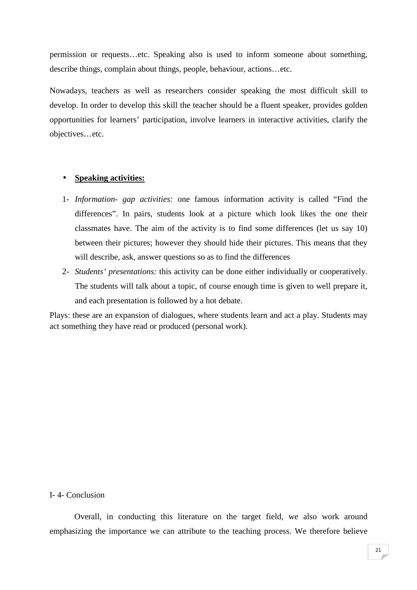permission or requests…etc. Speaking also is used to inform someone about something, describe things, complain about things, people, behaviour, actions…etc.

Nowadays, teachers as well as researchers consider speaking the most difficult skill to develop. In order to develop this skill the teacher should be a fluent speaker, provides golden opportunities for learners' participation, involve learners in interactive activities, clarify the objectives…etc.

## • **Speaking activities:**

- 1- *Information- gap activities:* one famous information activity is called "Find the differences". In pairs, students look at a picture which look likes the one their classmates have. The aim of the activity is to find some differences (let us say 10) between their pictures; however they should hide their pictures. This means that they will describe, ask, answer questions so as to find the differences
- 2- *Students' presentations:* this activity can be done either individually or cooperatively. The students will talk about a topic, of course enough time is given to well prepare it, and each presentation is followed by a hot debate.

Plays: these are an expansion of dialogues, where students learn and act a play. Students may act something they have read or produced (personal work).

## I- 4- Conclusion

Overall, in conducting this literature on the target field, we also work around emphasizing the importance we can attribute to the teaching process. We therefore believe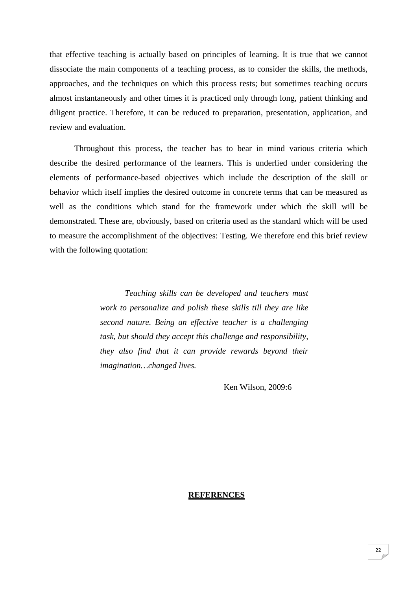that effective teaching is actually based on principles of learning. It is true that we cannot dissociate the main components of a teaching process, as to consider the skills, the methods, approaches, and the techniques on which this process rests; but sometimes teaching occurs almost instantaneously and other times it is practiced only through long, patient thinking and diligent practice. Therefore, it can be reduced to preparation, presentation, application, and review and evaluation.

Throughout this process, the teacher has to bear in mind various criteria which describe the desired performance of the learners. This is underlied under considering the elements of performance-based objectives which include the description of the skill or behavior which itself implies the desired outcome in concrete terms that can be measured as well as the conditions which stand for the framework under which the skill will be demonstrated. These are, obviously, based on criteria used as the standard which will be used to measure the accomplishment of the objectives: Testing. We therefore end this brief review with the following quotation:

> *Teaching skills can be developed and teachers must work to personalize and polish these skills till they are like second nature. Being an effective teacher is a challenging task, but should they accept this challenge and responsibility, they also find that it can provide rewards beyond their imagination…changed lives.*

> > Ken Wilson, 2009:6

### **REFERENCES**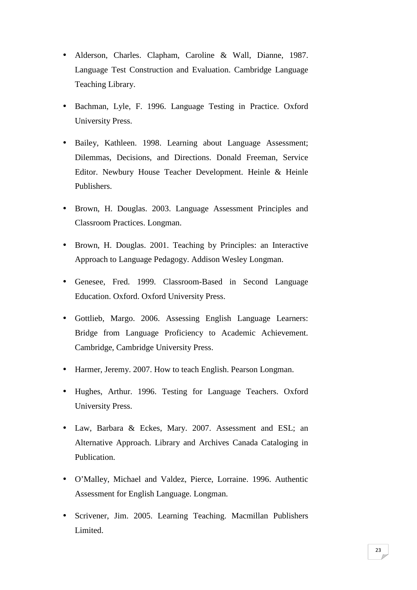- Alderson, Charles. Clapham, Caroline & Wall, Dianne, 1987. Language Test Construction and Evaluation. Cambridge Language Teaching Library.
- Bachman, Lyle, F. 1996. Language Testing in Practice. Oxford University Press.
- Bailey, Kathleen. 1998. Learning about Language Assessment; Dilemmas, Decisions, and Directions. Donald Freeman, Service Editor. Newbury House Teacher Development. Heinle & Heinle Publishers.
- Brown, H. Douglas. 2003. Language Assessment Principles and Classroom Practices. Longman.
- Brown, H. Douglas. 2001. Teaching by Principles: an Interactive Approach to Language Pedagogy. Addison Wesley Longman.
- Genesee, Fred. 1999. Classroom-Based in Second Language Education. Oxford. Oxford University Press.
- Gottlieb, Margo. 2006. Assessing English Language Learners: Bridge from Language Proficiency to Academic Achievement. Cambridge, Cambridge University Press.
- Harmer, Jeremy. 2007. How to teach English. Pearson Longman.
- Hughes, Arthur. 1996. Testing for Language Teachers. Oxford University Press.
- Law, Barbara & Eckes, Mary. 2007. Assessment and ESL; an Alternative Approach. Library and Archives Canada Cataloging in Publication.
- O'Malley, Michael and Valdez, Pierce, Lorraine. 1996. Authentic Assessment for English Language. Longman.
- Scrivener, Jim. 2005. Learning Teaching. Macmillan Publishers Limited.